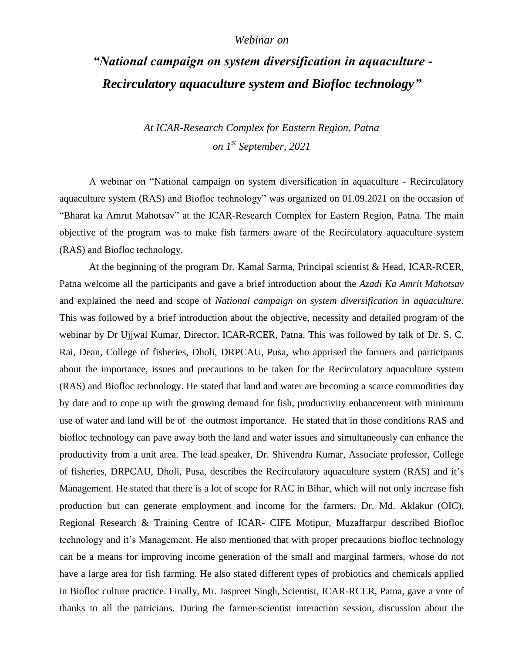## *Webinar on*

## *"National campaign on system diversification in aquaculture - Recirculatory aquaculture system and Biofloc technology"*

*At ICAR-Research Complex for Eastern Region, Patna on 1st September, 2021*

A webinar on "National campaign on system diversification in aquaculture - Recirculatory aquaculture system (RAS) and Biofloc technology" was organized on 01.09.2021 on the occasion of "Bharat ka Amrut Mahotsav" at the ICAR-Research Complex for Eastern Region, Patna. The main objective of the program was to make fish farmers aware of the Recirculatory aquaculture system (RAS) and Biofloc technology.

At the beginning of the program Dr. Kamal Sarma, Principal scientist & Head, ICAR-RCER, Patna welcome all the participants and gave a brief introduction about the *Azadi Ka Amrit Mahotsav* and explained the need and scope of *National campaign on system diversification in aquaculture*. This was followed by a brief introduction about the objective, necessity and detailed program of the webinar by Dr Ujjwal Kumar, Director, ICAR-RCER, Patna. This was followed by talk of Dr. S. C. Rai, Dean, College of fisheries, Dholi, DRPCAU, Pusa, who apprised the farmers and participants about the importance, issues and precautions to be taken for the Recirculatory aquaculture system (RAS) and Biofloc technology. He stated that land and water are becoming a scarce commodities day by date and to cope up with the growing demand for fish, productivity enhancement with minimum use of water and land will be of the outmost importance. He stated that in those conditions RAS and biofloc technology can pave away both the land and water issues and simultaneously can enhance the productivity from a unit area. The lead speaker, Dr. Shivendra Kumar, Associate professor, College of fisheries, DRPCAU, Dholi, Pusa, describes the Recirculatory aquaculture system (RAS) and it's Management. He stated that there is a lot of scope for RAC in Bihar, which will not only increase fish production but can generate employment and income for the farmers. Dr. Md. Aklakur (OIC), Regional Research & Training Centre of ICAR- CIFE Motipur, Muzaffarpur described Biofloc technology and it's Management. He also mentioned that with proper precautions biofloc technology can be a means for improving income generation of the small and marginal farmers, whose do not have a large area for fish farming. He also stated different types of probiotics and chemicals applied in Biofloc culture practice. Finally, Mr. Jaspreet Singh, Scientist, ICAR-RCER, Patna, gave a vote of thanks to all the patricians. During the farmer-scientist interaction session, discussion about the